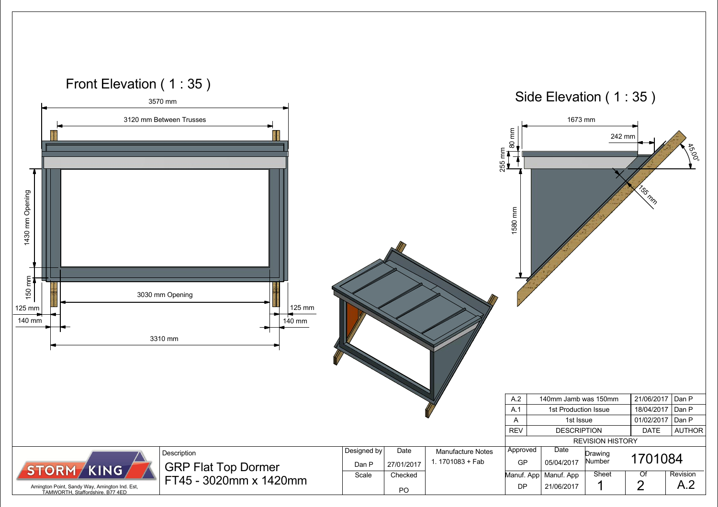